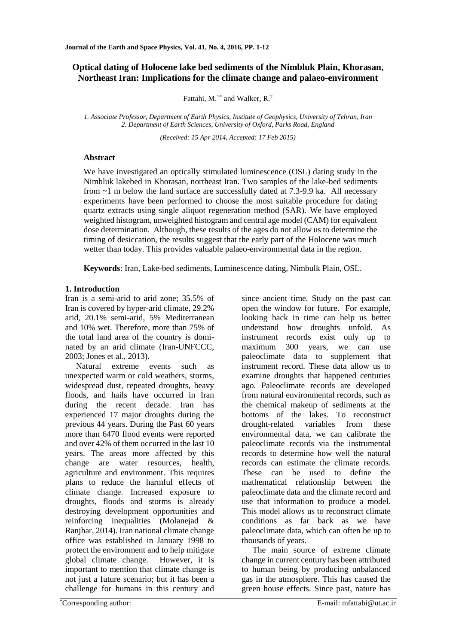# **Optical dating of Holocene lake bed sediments of the Nimbluk Plain, Khorasan, Northeast Iran: Implications for the climate change and palaeo-environment**

Fattahi,  $M.<sup>1*</sup>$  and Walker, R.<sup>2</sup>

*1. Associate Professor, Department of Earth Physics, Institute of Geophysics, University of Tehran, Iran 2. Department of Earth Sciences, University of Oxford, Parks Road, England* 

*(Received: 15 Apr 2014, Accepted: 17 Feb 2015)*

## **Abstract**

We have investigated an optically stimulated luminescence (OSL) dating study in the Nimbluk lakebed in Khorasan, northeast Iran. Two samples of the lake-bed sediments from ~1 m below the land surface are successfully dated at 7.3-9.9 ka. All necessary experiments have been performed to choose the most suitable procedure for dating quartz extracts using single aliquot regeneration method (SAR). We have employed weighted histogram, unweighted histogram and central age model (CAM) for equivalent dose determination. Although, these results of the ages do not allow us to determine the timing of desiccation, the results suggest that the early part of the Holocene was much wetter than today. This provides valuable palaeo-environmental data in the region.

**Keywords**: Iran, Lake-bed sediments, Luminescence dating, Nimbulk Plain, OSL.

## **1. Introduction**

Iran is a semi-arid to arid zone; 35.5% of Iran is covered by hyper-arid climate, 29.2% arid, 20.1% semi-arid, 5% Mediterranean and 10% wet. Therefore, more than 75% of the total land area of the country is dominated by an arid climate (Iran-UNFCCC, 2003; Jones et al., 2013).

Natural extreme events such as unexpected warm or cold weathers, storms, widespread dust, repeated droughts, heavy floods, and hails have occurred in Iran during the recent decade. Iran has experienced 17 major droughts during the previous 44 years. During the Past 60 years more than 6470 flood events were reported and over 42% of them occurred in the last 10 years. The areas more affected by this change are water resources, health, agriculture and environment. This requires plans to reduce the harmful effects of climate change. Increased exposure to droughts, floods and storms is already destroying development opportunities and reinforcing inequalities (Molanejad & Ranjbar, 2014). Iran national climate change office was established in January 1998 to protect the environment and to help mitigate global climate change. However, it is important to mention that climate change is not just a future scenario; but it has been a challenge for humans in this century and

since ancient time. Study on the past can open the window for future. For example, looking back in time can help us better understand how droughts unfold. As instrument records exist only up to maximum 300 years, we can use paleoclimate data to supplement that instrument record. These data allow us to examine droughts that happened centuries ago. Paleoclimate records are developed from natural environmental records, such as the chemical makeup of sediments at the bottoms of the lakes. To reconstruct drought-related variables from these environmental data, we can calibrate the paleoclimate records via the instrumental records to determine how well the natural records can estimate the climate records. These can be used to define the mathematical relationship between the paleoclimate data and the climate record and use that information to produce a model. This model allows us to reconstruct climate conditions as far back as we have paleoclimate data, which can often be up to thousands of years.

The main source of extreme climate change in current century has been attributed to human being by producing unbalanced gas in the atmosphere. This has caused the green house effects. Since past, nature has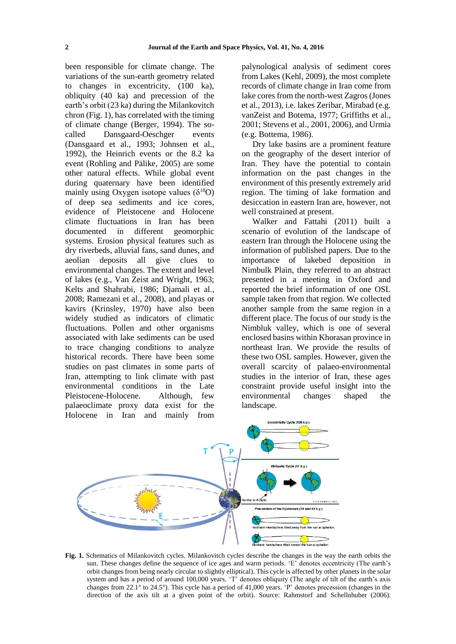been responsible for climate change. The variations of the sun-earth geometry related to changes in excentricity, (100 ka), obliquity (40 ka) and precession of the earth's orbit (23 ka) during the Milankovitch chron (Fig. 1), has correlated with the timing of climate change (Berger, 1994). The socalled Dansgaard-Oeschger events (Dansgaard et al., 1993; Johnsen et al., 1992), the Heinrich events or the 8.2 ka event (Rohling and Pälike, 2005) are some other natural effects. While global event during quaternary have been identified mainly using Oxygen isotope values  $(\delta^{18}O)$ of deep sea sediments and ice cores, evidence of Pleistocene and Holocene climate fluctuations in Iran has been documented in different geomorphic systems. Erosion physical features such as dry riverbeds, alluvial fans, sand dunes, and aeolian deposits all give clues to environmental changes. The extent and level of lakes (e.g., Van Zeist and Wright, 1963; Kelts and Shahrabi, 1986; Djamali et al., 2008; Ramezani et al., 2008), and playas or kavirs (Krinsley, 1970) have also been widely studied as indicators of climatic fluctuations. Pollen and other organisms associated with lake sediments can be used to trace changing conditions to analyze historical records. There have been some studies on past climates in some parts of Iran, attempting to link climate with past environmental conditions in the Late Pleistocene-Holocene. Although, few palaeoclimate proxy data exist for the Holocene in Iran and mainly from

palynological analysis of sediment cores from Lakes (Kehl, 2009), the most complete records of climate change in Iran come from lake cores from the north-west Zagros (Jones et al., 2013), i.e. lakes Zeribar, Mirabad (e.g. vanZeist and Botema, 1977; Griffiths et al., 2001; Stevens et al., 2001, 2006), and Urmia (e.g. Bottema, 1986).

Dry lake basins are a prominent feature on the geography of the desert interior of Iran. They have the potential to contain information on the past changes in the environment of this presently extremely arid region. The timing of lake formation and desiccation in eastern Iran are, however, not well constrained at present.

Walker and Fattahi (2011) built a scenario of evolution of the landscape of eastern Iran through the Holocene using the information of published papers. Due to the importance of lakebed deposition in Nimbulk Plain, they referred to an abstract presented in a meeting in Oxford and reported the brief information of one OSL sample taken from that region. We collected another sample from the same region in a different place. The focus of our study is the Nimbluk valley, which is one of several enclosed basins within Khorasan province in northeast Iran. We provide the results of these two OSL samples. However, given the overall scarcity of palaeo-environmental studies in the interior of Iran, these ages constraint provide useful insight into the environmental changes shaped the landscape.



**Fig. 1.** Schematics of Milankovitch cycles. Milankovitch cycles describe the changes in the way the earth orbits the sun. These changes define the sequence of ice ages and warm periods. 'E' denotes eccentricity (The earth's orbit changes from being nearly circular to slightly elliptical). This cycle is affected by other planets in the solar system and has a period of around 100,000 years. 'T' denotes obliquity (The angle of tilt of the earth's axis changes from 22.1° to 24.5°). This cycle has a period of 41,000 years. 'P' denotes precession (changes in the direction of the axis tilt at a given point of the orbit). Source: Rahmstorf and Schellnhuber (2006).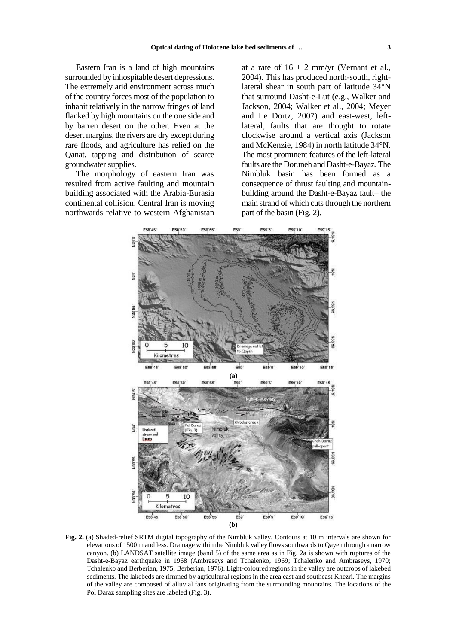Eastern Iran is a land of high mountains surrounded by inhospitable desert depressions. The extremely arid environment across much of the country forces most of the population to inhabit relatively in the narrow fringes of land flanked by high mountains on the one side and by barren desert on the other. Even at the desert margins, the rivers are dry except during rare floods, and agriculture has relied on the Qanat, tapping and distribution of scarce groundwater supplies.

The morphology of eastern Iran was resulted from active faulting and mountain building associated with the Arabia-Eurasia continental collision. Central Iran is moving northwards relative to western Afghanistan at a rate of  $16 \pm 2$  mm/yr (Vernant et al., 2004). This has produced north-south, rightlateral shear in south part of latitude 34°N that surround Dasht-e-Lut (e.g., Walker and Jackson, 2004; Walker et al., 2004; Meyer and Le Dortz, 2007) and east-west, leftlateral, faults that are thought to rotate clockwise around a vertical axis (Jackson and McKenzie, 1984) in north latitude 34°N. The most prominent features of the left-lateral faults are the Doruneh and Dasht-e-Bayaz. The Nimbluk basin has been formed as a consequence of thrust faulting and mountainbuilding around the Dasht-e-Bayaz fault– the main strand of which cuts through the northern part of the basin (Fig. 2).



**Fig. 2.** (a) Shaded-relief SRTM digital topography of the Nimbluk valley. Contours at 10 m intervals are shown for elevations of 1500 m and less. Drainage within the Nimbluk valley flows southwards to Qayen through a narrow canyon. (b) LANDSAT satellite image (band 5) of the same area as in Fig. 2a is shown with ruptures of the Dasht-e-Bayaz earthquake in 1968 (Ambraseys and Tchalenko, 1969; Tchalenko and Ambraseys, 1970; Tchalenko and Berberian, 1975; Berberian, 1976). Light-coloured regions in the valley are outcrops of lakebed sediments. The lakebeds are rimmed by agricultural regions in the area east and southeast Khezri. The margins of the valley are composed of alluvial fans originating from the surrounding mountains. The locations of the Pol Daraz sampling sites are labeled (Fig. 3).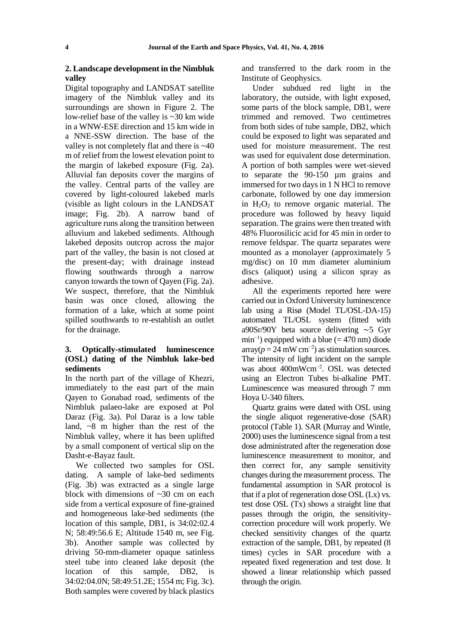### **2. Landscape development in the Nimbluk valley**

Digital topography and LANDSAT satellite imagery of the Nimbluk valley and its surroundings are shown in Figure 2. The low-relief base of the valley is ~30 km wide in a WNW-ESE direction and 15 km wide in a NNE-SSW direction. The base of the valley is not completely flat and there is ~40 m of relief from the lowest elevation point to the margin of lakebed exposure (Fig. 2a). Alluvial fan deposits cover the margins of the valley. Central parts of the valley are covered by light-coloured lakebed marls (visible as light colours in the LANDSAT image; Fig. 2b). A narrow band of agriculture runs along the transition between alluvium and lakebed sediments. Although lakebed deposits outcrop across the major part of the valley, the basin is not closed at the present-day; with drainage instead flowing southwards through a narrow canyon towards the town of Qayen (Fig. 2a). We suspect, therefore, that the Nimbluk basin was once closed, allowing the formation of a lake, which at some point spilled southwards to re-establish an outlet for the drainage.

### **3. Optically-stimulated luminescence (OSL) dating of the Nimbluk lake-bed sediments**

In the north part of the village of Khezri, immediately to the east part of the main Qayen to Gonabad road, sediments of the Nimbluk palaeo-lake are exposed at Pol Daraz (Fig. 3a). Pol Daraz is a low table land, ~8 m higher than the rest of the Nimbluk valley, where it has been uplifted by a small component of vertical slip on the Dasht-e-Bayaz fault.

We collected two samples for OSL dating. A sample of lake-bed sediments (Fig. 3b) was extracted as a single large block with dimensions of ~30 cm on each side from a vertical exposure of fine-grained and homogeneous lake-bed sediments (the location of this sample, DB1, is 34:02:02.4 N; 58:49:56.6 E; Altitude 1540 m, see Fig. 3b). Another sample was collected by driving 50-mm-diameter opaque satinless steel tube into cleaned lake deposit (the location of this sample, DB2, is 34:02:04.0N; 58:49:51.2E; 1554 m; Fig. 3c). Both samples were covered by black plastics

and transferred to the dark room in the Institute of Geophysics.

Under subdued red light in the laboratory, the outside, with light exposed, some parts of the block sample, DB1, were trimmed and removed. Two centimetres from both sides of tube sample, DB2, which could be exposed to light was separated and used for moisture measurement. The rest was used for equivalent dose determination. A portion of both samples were wet-sieved to separate the 90-150 µm grains and immersed for two days in 1 N HCl to remove carbonate, followed by one day immersion in  $H_2O_2$  to remove organic material. The procedure was followed by heavy liquid separation. The grains were then treated with 48% Fluorosilicic acid for 45 min in order to remove feldspar. The quartz separates were mounted as a monolayer (approximately 5 mg/disc) on 10 mm diameter aluminium discs (aliquot) using a silicon spray as adhesive.

All the experiments reported here were carried out in Oxford University luminescence lab using a Risø (Model TL/OSL-DA-15) automated TL/OSL system (fitted with a90Sr/90Y beta source delivering ∼5 Gyr min<sup>-1</sup>) equipped with a blue (= 470 nm) diode  $\arctan(p = 24 \text{ mW cm}^{-2})$  as stimulation sources. The intensity of light incident on the sample was about 400mWcm−2. OSL was detected using an Electron Tubes bi-alkaline PMT. Luminescence was measured through 7 mm Hoya U-340 filters.

Quartz grains were dated with OSL using the single aliquot regenerative-dose (SAR) protocol (Table 1). SAR (Murray and Wintle, 2000) uses the luminescence signal from a test dose administrated after the regeneration dose luminescence measurement to monitor, and then correct for, any sample sensitivity changes during the measurement process. The fundamental assumption in SAR protocol is that if a plot of regeneration dose OSL (Lx) vs. test dose OSL (Tx) shows a straight line that passes through the origin, the sensitivitycorrection procedure will work properly. We checked sensitivity changes of the quartz extraction of the sample, DB1, by repeated (8 times) cycles in SAR procedure with a repeated fixed regeneration and test dose. It showed a linear relationship which passed through the origin.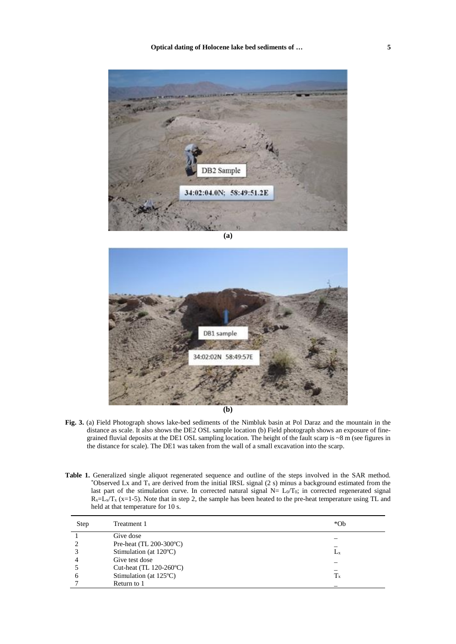

**(a)**



- **(b)**
- **Fig. 3.** (a) Field Photograph shows lake-bed sediments of the Nimbluk basin at Pol Daraz and the mountain in the distance as scale. It also shows the DE2 OSL sample location (b) Field photograph shows an exposure of finegrained fluvial deposits at the DE1 OSL sampling location. The height of the fault scarp is ~8 m (see figures in the distance for scale). The DE1 was taken from the wall of a small excavation into the scarp.
- **Table 1.** Generalized single aliquot regenerated sequence and outline of the steps involved in the SAR method. \*Observed Lx and  $T_x$  are derived from the initial IRSL signal (2 s) minus a background estimated from the last part of the stimulation curve. In corrected natural signal  $N = L_0/T_0$ ; in corrected regenerated signal  $R_x=L_y/T_x$  (x=1-5). Note that in step 2, the sample has been heated to the pre-heat temperature using TL and held at that temperature for 10 s.

| Step | Treatment 1                      | $*Ob$       |
|------|----------------------------------|-------------|
|      | Give dose                        |             |
|      | Pre-heat (TL $200-300$ °C)       |             |
|      | Stimulation (at $120^{\circ}$ C) | $L_{\rm X}$ |
|      | Give test dose                   |             |
|      | Cut-heat (TL $120-260$ °C)       |             |
| h    | Stimulation (at $125^{\circ}$ C) | $T_{x}$     |
|      | Return to 1                      |             |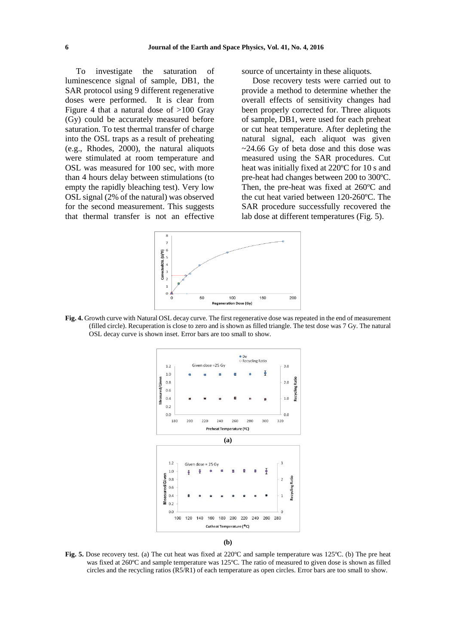To investigate the saturation of luminescence signal of sample, DB1, the SAR protocol using 9 different regenerative doses were performed. It is clear from Figure 4 that a natural dose of >100 Gray (Gy) could be accurately measured before saturation. To test thermal transfer of charge into the OSL traps as a result of preheating (e.g., Rhodes, 2000), the natural aliquots were stimulated at room temperature and OSL was measured for 100 sec, with more than 4 hours delay between stimulations (to empty the rapidly bleaching test). Very low OSL signal (2% of the natural) was observed for the second measurement. This suggests that thermal transfer is not an effective

source of uncertainty in these aliquots.

Dose recovery tests were carried out to provide a method to determine whether the overall effects of sensitivity changes had been properly corrected for. Three aliquots of sample, DB1, were used for each preheat or cut heat temperature. After depleting the natural signal, each aliquot was given ~24.66 Gy of beta dose and this dose was measured using the SAR procedures. Cut heat was initially fixed at 220ºC for 10 s and pre-heat had changes between 200 to 300ºC. Then, the pre-heat was fixed at 260ºC and the cut heat varied between 120-260ºC. The SAR procedure successfully recovered the lab dose at different temperatures (Fig. 5).



**Fig. 4.** Growth curve with Natural OSL decay curve. The first regenerative dose was repeated in the end of measurement (filled circle). Recuperation is close to zero and is shown as filled triangle. The test dose was 7 Gy. The natural OSL decay curve is shown inset. Error bars are too small to show.



**(b)**

**Fig. 5.** Dose recovery test. (a) The cut heat was fixed at 220ºC and sample temperature was 125ºC. (b) The pre heat was fixed at 260ºC and sample temperature was 125ºC. The ratio of measured to given dose is shown as filled circles and the recycling ratios (R5/R1) of each temperature as open circles. Error bars are too small to show.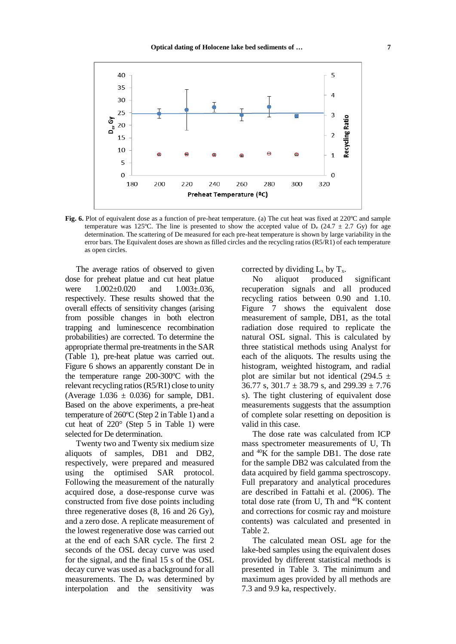

**Fig. 6.** Plot of equivalent dose as a function of pre-heat temperature. (a) The cut heat was fixed at 220°C and sample temperature was 125°C. The line is presented to show the accepted value of  $D_e$  (24.7  $\pm$  2.7 Gy) for age determination. The scattering of De measured for each pre-heat temperature is shown by large variability in the error bars. The Equivalent doses are shown as filled circles and the recycling ratios (R5/R1) of each temperature as open circles.

The average ratios of observed to given dose for preheat platue and cut heat platue were  $1.002 \pm 0.020$  and  $1.003 \pm 0.036$ , respectively. These results showed that the overall effects of sensitivity changes (arising from possible changes in both electron trapping and luminescence recombination probabilities) are corrected. To determine the appropriate thermal pre-treatments in the SAR (Table 1), pre-heat platue was carried out. Figure 6 shows an apparently constant De in the temperature range 200-300ºC with the relevant recycling ratios (R5/R1) close to unity (Average  $1.036 \pm 0.036$ ) for sample, DB1. Based on the above experiments, a pre-heat temperature of 260ºC (Step 2 in Table 1) and a cut heat of 220° (Step 5 in Table 1) were selected for De determination.

Twenty two and Twenty six medium size aliquots of samples, DB1 and DB2, respectively, were prepared and measured using the optimised SAR protocol. Following the measurement of the naturally acquired dose, a dose-response curve was constructed from five dose points including three regenerative doses (8, 16 and 26 Gy), and a zero dose. A replicate measurement of the lowest regenerative dose was carried out at the end of each SAR cycle. The first 2 seconds of the OSL decay curve was used for the signal, and the final 15 s of the OSL decay curve was used as a background for all measurements. The D<sup>e</sup> was determined by interpolation and the sensitivity was

corrected by dividing  $L_x$  by  $T_x$ .

No aliquot produced significant recuperation signals and all produced recycling ratios between 0.90 and 1.10. Figure 7 shows the equivalent dose measurement of sample, DB1, as the total radiation dose required to replicate the natural OSL signal. This is calculated by three statistical methods using Analyst for each of the aliquots. The results using the histogram, weighted histogram, and radial plot are similar but not identical (294.5  $\pm$ 36.77 s,  $301.7 \pm 38.79$  s, and  $299.39 \pm 7.76$ s). The tight clustering of equivalent dose measurements suggests that the assumption of complete solar resetting on deposition is valid in this case.

The dose rate was calculated from ICP mass spectrometer measurements of U, Th and <sup>40</sup>K for the sample DB1. The dose rate for the sample DB2 was calculated from the data acquired by field gamma spectroscopy. Full preparatory and analytical procedures are described in Fattahi et al. (2006). The total dose rate (from U, Th and  $40K$  content and corrections for cosmic ray and moisture contents) was calculated and presented in Table 2.

The calculated mean OSL age for the lake-bed samples using the equivalent doses provided by different statistical methods is presented in Table 3. The minimum and maximum ages provided by all methods are 7.3 and 9.9 ka, respectively.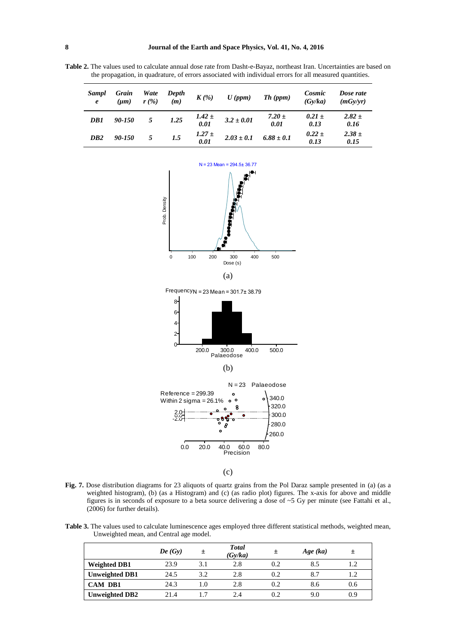**Table 2.** The values used to calculate annual dose rate from Dasht-e-Bayaz, northeast Iran. Uncertainties are based on the propagation, in quadrature, of errors associated with individual errors for all measured quantities.

| Sampl<br>$\boldsymbol{e}$ | Grain<br>$(\mu m)$ | Wate<br>r(%) | Depth<br>(m) | $K(\mathcal{C})$   | $U$ (ppm)      | Th (ppm)           | Cosmic<br>(Gv/ka)  | Dose rate<br>(mGv/vr) |
|---------------------------|--------------------|--------------|--------------|--------------------|----------------|--------------------|--------------------|-----------------------|
| DB1                       | 90-150             | 5            | 1.25         | $1.42 \pm 0.01$    | $3.2 \pm 0.01$ | $7.20 \pm$<br>0.01 | $0.21 \pm$<br>0.13 | $2.82 \pm$<br>0.16    |
| DB <sub>2</sub>           | 90-150             | 5            | 1.5          | $1.27 \pm$<br>0.01 | $2.03 \pm 0.1$ | $6.88 \pm 0.1$     | $0.22 \pm$<br>0.13 | $2.38 \pm$<br>0.15    |





(b)



(c)

**Fig. 7.** Dose distribution diagrams for 23 aliquots of quartz grains from the Pol Daraz sample presented in (a) (as a weighted histogram), (b) (as a Histogram) and (c) (as radio plot) figures. The x-axis for above and middle figures is in seconds of exposure to a beta source delivering a dose of ~5 Gy per minute (see Fattahi et al., (2006) for further details).

**Table 3.** The values used to calculate luminescence ages employed three different statistical methods, weighted mean, Unweighted mean, and Central age model.

|                       | De(Gy) | $\pm$ | <b>Total</b><br>(Gy/ka) | 土   | Age (ka) | 土   |
|-----------------------|--------|-------|-------------------------|-----|----------|-----|
| <b>Weighted DB1</b>   | 23.9   | 3.1   | 2.8                     | 0.2 | 8.5      | 1.2 |
| <b>Unweighted DB1</b> | 24.5   | 3.2   | 2.8                     | 0.2 | 8.7      | 1.2 |
| CAM DB1               | 24.3   | 1.0   | 2.8                     | 0.2 | 8.6      | 0.6 |
| <b>Unweighted DB2</b> | 21.4   |       | 2.4                     | 0.2 | 9.0      | 0.9 |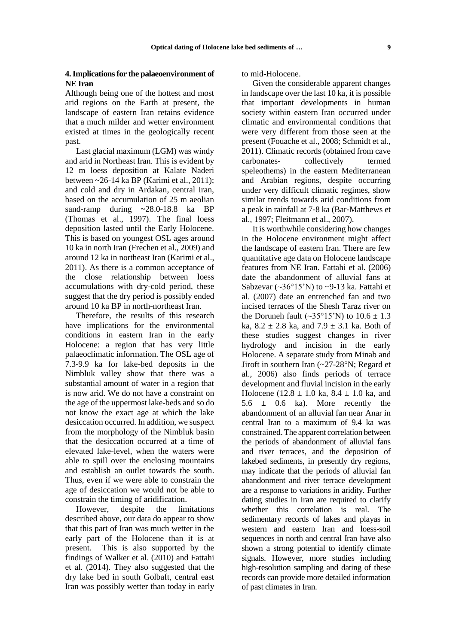### **4. Implications for the palaeoenvironment of NE Iran**

Although being one of the hottest and most arid regions on the Earth at present, the landscape of eastern Iran retains evidence that a much milder and wetter environment existed at times in the geologically recent past.

Last glacial maximum (LGM) was windy and arid in Northeast Iran. This is evident by 12 m loess deposition at Kalate Naderi between ~26-14 ka BP (Karimi et al., 2011); and cold and dry in Ardakan, central Iran, based on the accumulation of 25 m aeolian sand-ramp during ~28.0-18.8 ka BP (Thomas et al., 1997). The final loess deposition lasted until the Early Holocene. This is based on youngest OSL ages around 10 ka in north Iran (Frechen et al., 2009) and around 12 ka in northeast Iran (Karimi et al., 2011). As there is a common acceptance of the close relationship between loess accumulations with dry-cold period, these suggest that the dry period is possibly ended around 10 ka BP in north-northeast Iran.

Therefore, the results of this research have implications for the environmental conditions in eastern Iran in the early Holocene: a region that has very little palaeoclimatic information. The OSL age of 7.3-9.9 ka for lake-bed deposits in the Nimbluk valley show that there was a substantial amount of water in a region that is now arid. We do not have a constraint on the age of the uppermost lake-beds and so do not know the exact age at which the lake desiccation occurred. In addition, we suspect from the morphology of the Nimbluk basin that the desiccation occurred at a time of elevated lake-level, when the waters were able to spill over the enclosing mountains and establish an outlet towards the south. Thus, even if we were able to constrain the age of desiccation we would not be able to constrain the timing of aridification.

However, despite the limitations described above, our data do appear to show that this part of Iran was much wetter in the early part of the Holocene than it is at present. This is also supported by the findings of Walker et al. (2010) and Fattahi et al. (2014). They also suggested that the dry lake bed in south Golbaft, central east Iran was possibly wetter than today in early

to mid-Holocene.

Given the considerable apparent changes in landscape over the last 10 ka, it is possible that important developments in human society within eastern Iran occurred under climatic and environmental conditions that were very different from those seen at the present (Fouache et al., 2008; Schmidt et al., 2011). Climatic records (obtained from cave carbonates‐ collectively termed speleothems) in the eastern Mediterranean and Arabian regions, despite occurring under very difficult climatic regimes, show similar trends towards arid conditions from a peak in rainfall at 7‐8 ka (Bar‐Matthews et al., 1997; Fleitmann et al., 2007).

It is worthwhile considering how changes in the Holocene environment might affect the landscape of eastern Iran. There are few quantitative age data on Holocene landscape features from NE Iran. Fattahi et al. (2006) date the abandonment of alluvial fans at Sabzevar  $(\sim 36^{\circ}15^{\prime}N)$  to  $\sim 9-13$  ka. Fattahi et al. (2007) date an entrenched fan and two incised terraces of the Shesh Taraz river on the Doruneh fault  $(\sim 35^{\circ}15^{\prime}N)$  to  $10.6 \pm 1.3$ ka,  $8.2 \pm 2.8$  ka, and  $7.9 \pm 3.1$  ka. Both of these studies suggest changes in river hydrology and incision in the early Holocene. A separate study from Minab and Jiroft in southern Iran (~27-28°N; Regard et al., 2006) also finds periods of terrace development and fluvial incision in the early Holocene (12.8  $\pm$  1.0 ka, 8.4  $\pm$  1.0 ka, and  $5.6 \pm 0.6$  ka). More recently the abandonment of an alluvial fan near Anar in central Iran to a maximum of 9.4 ka was constrained. The apparent correlation between the periods of abandonment of alluvial fans and river terraces, and the deposition of lakebed sediments, in presently dry regions, may indicate that the periods of alluvial fan abandonment and river terrace development are a response to variations in aridity. Further dating studies in Iran are required to clarify whether this correlation is real. The sedimentary records of lakes and playas in western and eastern Iran and loess-soil sequences in north and central Iran have also shown a strong potential to identify climate signals. However, more studies including high-resolution sampling and dating of these records can provide more detailed information of past climates in Iran.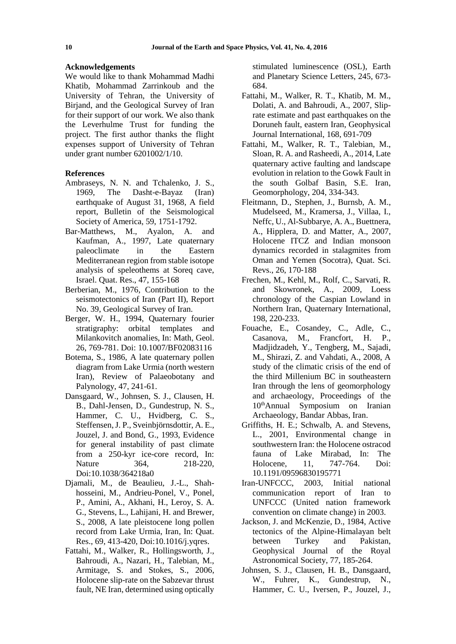#### **Acknowledgements**

We would like to thank Mohammad Madhi Khatib, Mohammad Zarrinkoub and the University of Tehran, the University of Birjand, and the Geological Survey of Iran for their support of our work. We also thank the Leverhulme Trust for funding the project. The first author thanks the flight expenses support of University of Tehran under grant number 6201002/1/10.

#### **References**

- Ambraseys, N. N. and Tchalenko, J. S., 1969, The Dasht-e-Bayaz (Iran) earthquake of August 31, 1968, A field report, Bulletin of the Seismological Society of America, 59, 1751-1792.
- Bar‐Matthews, M., Ayalon, A. and Kaufman, A., 1997, Late quaternary paleoclimate in the Eastern Mediterranean region from stable isotope analysis of speleothems at Soreq cave, Israel. Quat. Res., 47, 155‐168
- Berberian, M., 1976, Contribution to the seismotectonics of Iran (Part II), Report No. 39, Geological Survey of Iran.
- Berger, W. H., 1994, Quaternary fourier stratigraphy: orbital templates and Milankovitch anomalies, In: Math, Geol. 26, 769-781. Doi: 10.1007/BF02083116
- Botema, S., 1986, A late quaternary pollen diagram from Lake Urmia (north western Iran), Review of Palaeobotany and Palynology, 47, 241-61.
- Dansgaard, W., Johnsen, S. J., Clausen, H. B., Dahl-Jensen, D., Gundestrup, N. S., Hammer, C. U., Hvidberg, C. S., Steffensen, J. P., Sveinbjörnsdottir, A. E., Jouzel, J. and Bond, G., 1993, Evidence for general instability of past climate from a 250-kyr ice-core record, In: Nature 364, 218-220, Doi:10.1038/364218a0
- Djamali, M., de Beaulieu, J.-L., Shahhosseini, M., Andrieu-Ponel, V., Ponel, P., Amini, A., Akhani, H., Leroy, S. A. G., Stevens, L., Lahijani, H. and Brewer, S., 2008, A late pleistocene long pollen record from Lake Urmia, Iran, In: Quat. Res., 69, 413-420, Doi:10.1016/j.yqres.
- Fattahi, M., Walker, R., Hollingsworth, J., Bahroudi, A., Nazari, H., Talebian, M., Armitage, S. and Stokes, S., 2006, Holocene slip-rate on the Sabzevar thrust fault, NE Iran, determined using optically

stimulated luminescence (OSL), Earth and Planetary Science Letters, 245, 673- 684.

- Fattahi, M., Walker, R. T., Khatib, M. M., Dolati, A. and Bahroudi, A., 2007, Sliprate estimate and past earthquakes on the Doruneh fault, eastern Iran, Geophysical Journal International, 168, 691-709
- Fattahi, M., Walker, R. T., Talebian, M., Sloan, R. A. and Rasheedi, A., 2014, Late quaternary active faulting and landscape evolution in relation to the Gowk Fault in the south Golbaf Basin, S.E. Iran, Geomorphology, 204, 334-343.
- Fleitmann, D., Stephen, J., Burnsb, A. M., Mudelseed, M., Kramersa, J., Villaa, I., Neffc, U., Al-Subbarye, A. A., Buettnera, A., Hipplera, D. and Matter, A., 2007, Holocene ITCZ and Indian monsoon dynamics recorded in stalagmites from Oman and Yemen (Socotra), Quat. Sci. Revs., 26, 170‐188
- Frechen, M., Kehl, M., Rolf, C., Sarvati, R. and Skowronek, A., 2009, Loess chronology of the Caspian Lowland in Northern Iran, Quaternary International, 198, 220-233.
- Fouache, E., Cosandey, C., Adle, C., Casanova, M., Francfort, H. P., Madjidzadeh, Y., Tengberg, M., Sajadi, M., Shirazi, Z. and Vahdati, A., 2008, A study of the climatic crisis of the end of the third Millenium BC in southeastern Iran through the lens of geomorphology and archaeology, Proceedings of the 10thAnnual Symposium on Iranian Archaeology, Bandar Abbas, Iran.
- Griffiths, H. E.; Schwalb, A. and Stevens, L., 2001, Environmental change in southwestern Iran: the Holocene ostracod fauna of Lake Mirabad, In: The Holocene, 11, 747-764. Doi: 10.1191/09596830195771
- Iran-UNFCCC, 2003, Initial national communication report of Iran to UNFCCC (United nation framework convention on climate change) in 2003.
- Jackson, J. and McKenzie, D., 1984, Active tectonics of the Alpine-Himalayan belt between Turkey and Pakistan, Geophysical Journal of the Royal Astronomical Society, 77, 185-264.
- Johnsen, S. J., Clausen, H. B., Dansgaard, W., Fuhrer, K., Gundestrup, N., Hammer, C. U., Iversen, P., Jouzel, J.,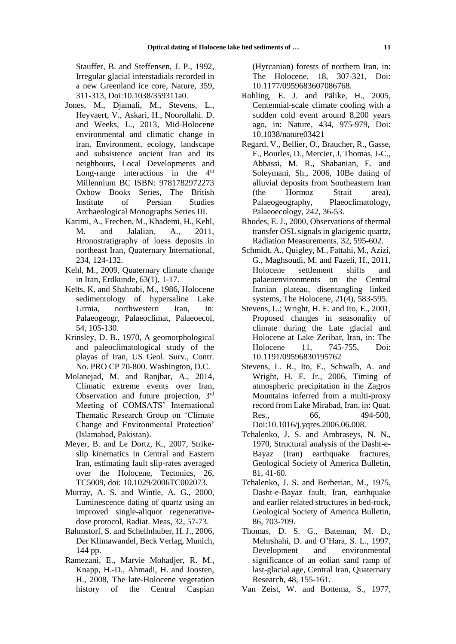Stauffer, B. and Steffensen, J. P., 1992, Irregular glacial interstadials recorded in a new Greenland ice core, Nature, 359, 311-313, Doi:10.1038/359311a0.

- Jones, M., Djamali, M., Stevens, L., Heyvaert, V., Askari, H., Noorollahi. D. and Weeks, L., 2013, Mid-Holocene environmental and climatic change in iran, Environment, ecology, landscape and subsistence ancient Iran and its neighbours, Local Developments and Long-range interactions in the  $4<sup>th</sup>$ Millennium BC ISBN: 9781782972273 Oxbow Books Series, The British Institute of Persian Studies Archaeological Monographs Series III.
- Karimi, A., Frechen, M., Khademi, H., Kehl, M. and Jalalian, A., 2011, Hronostratigraphy of loess deposits in northeast Iran, Quaternary International, 234, 124-132.
- Kehl, M., 2009, Quaternary climate change in Iran, Erdkunde, 63(1), 1-17.
- Kelts, K. and Shahrabi, M., 1986, Holocene sedimentology of hypersaline Lake Urmia, northwestern Iran, In: Palaeogeogr, Palaeoclimat, Palaeoecol, 54, 105-130.
- Krinsley, D. B., 1970, A geomorphological and paleoclimatological study of the playas of Iran, US Geol. Surv., Contr. No. PRO CP 70-800. Washington, D.C.
- Molanejad, M. and Ranjbar, A., 2014, Climatic extreme events over Iran, Observation and future projection, 3<sup>rd</sup> Meeting of COMSATS' International Thematic Research Group on 'Climate Change and Environmental Protection' (Islamabad, Pakistan).
- Meyer, B. and Le Dortz, K., 2007, Strikeslip kinematics in Central and Eastern Iran, estimating fault slip-rates averaged over the Holocene, Tectonics, 26, TC5009, doi: 10.1029/2006TC002073.
- Murray, A. S. and Wintle, A. G., 2000, Luminescence dating of quartz using an improved single-aliquot regenerativedose protocol, Radiat. Meas, 32, 57-73.
- Rahmstorf, S. and Schellnhuber, H. J., 2006, Der Klimawandel, Beck Verlag, Munich, 144 pp.
- Ramezani, E., Marvie Mohadjer, R. M., Knapp, H.-D., Ahmadi, H. and Joosten, H., 2008, The late-Holocene vegetation history of the Central Caspian

(Hyrcanian) forests of northern Iran, in: The Holocene, 18, 307-321, Doi: 10.1177/0959683607086768.

- Rohling, E. J. and Pälike, H., 2005, Centennial-scale climate cooling with a sudden cold event around 8,200 years ago, in: Nature, 434, 975-979, Doi: 10.1038/nature03421
- Regard, V., Bellier, O., Braucher, R., Gasse, F., Bourles, D., Mercier, J, Thomas, J-C., Abbassi, M. R., Shabanian, E. and Soleymani, Sh., 2006, 10Be dating of alluvial deposits from Southeastern Iran (the Hormoz Strait area), Palaeogeography, Plaeoclimatology, Palaeoecology, 242, 36-53.
- Rhodes, E. J., 2000, Observations of thermal transfer OSL signals in glacigenic quartz, Radiation Measurements, 32, 595-602.
- Schmidt, A., Quigley, M., Fattahi, M., Azizi, G., Maghsoudi, M. and Fazeli, H., 2011, Holocene settlement shifts and palaeoenvironments on the Central Iranian plateau, disentangling linked systems, The Holocene, 21(4), 583-595.
- Stevens, L.; Wright, H. E. and Ito, E., 2001, Proposed changes in seasonality of climate during the Late glacial and Holocene at Lake Zeribar, Iran, in: The Holocene 11, 745-755, Doi: 10.1191/09596830195762
- Stevens, L. R., Ito, E., Schwalb, A. and Wright, H. E. Jr., 2006, Timing of atmospheric precipitation in the Zagros Mountains inferred from a multi-proxy record from Lake Mirabad, Iran, in: Quat. Res., 66, 494-500, Doi:10.1016/j.yqres.2006.06.008.
- Tchalenko, J. S. and Ambraseys, N. N., 1970, Structural analysis of the Dasht-e-Bayaz (Iran) earthquake fractures, Geological Society of America Bulletin, 81, 41-60.
- Tchalenko, J. S. and Berberian, M., 1975, Dasht-e-Bayaz fault, Iran, earthquake and earlier related structures in bed-rock, Geological Society of America Bulletin, 86, 703-709.
- Thomas, D. S. G., Bateman, M. D., Mehrshahi, D. and O'Hara, S. L., 1997, Development and environmental significance of an eolian sand ramp of last-glacial age, Central Iran, Quaternary Research, 48, 155-161.
- Van Zeist, W. and Bottema, S., 1977,